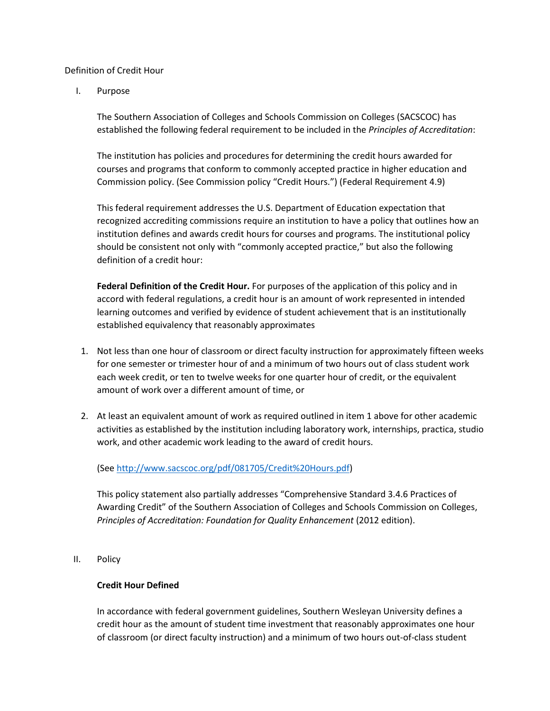#### Definition of Credit Hour

I. Purpose

The Southern Association of Colleges and Schools Commission on Colleges (SACSCOC) has established the following federal requirement to be included in the *Principles of Accreditation*:

The institution has policies and procedures for determining the credit hours awarded for courses and programs that conform to commonly accepted practice in higher education and Commission policy. (See Commission policy "Credit Hours.") (Federal Requirement 4.9)

This federal requirement addresses the U.S. Department of Education expectation that recognized accrediting commissions require an institution to have a policy that outlines how an institution defines and awards credit hours for courses and programs. The institutional policy should be consistent not only with "commonly accepted practice," but also the following definition of a credit hour:

**Federal Definition of the Credit Hour.** For purposes of the application of this policy and in accord with federal regulations, a credit hour is an amount of work represented in intended learning outcomes and verified by evidence of student achievement that is an institutionally established equivalency that reasonably approximates

- 1. Not less than one hour of classroom or direct faculty instruction for approximately fifteen weeks for one semester or trimester hour of and a minimum of two hours out of class student work each week credit, or ten to twelve weeks for one quarter hour of credit, or the equivalent amount of work over a different amount of time, or
- 2. At least an equivalent amount of work as required outlined in item 1 above for other academic activities as established by the institution including laboratory work, internships, practica, studio work, and other academic work leading to the award of credit hours.

(See [http://www.sacscoc.org/pdf/081705/Credit%20Hours.pdf\)](http://www.sacscoc.org/pdf/081705/Credit%20Hours.pdf)

This policy statement also partially addresses "Comprehensive Standard 3.4.6 Practices of Awarding Credit" of the Southern Association of Colleges and Schools Commission on Colleges, *Principles of Accreditation: Foundation for Quality Enhancement* (2012 edition).

II. Policy

#### **Credit Hour Defined**

In accordance with federal government guidelines, Southern Wesleyan University defines a credit hour as the amount of student time investment that reasonably approximates one hour of classroom (or direct faculty instruction) and a minimum of two hours out-of-class student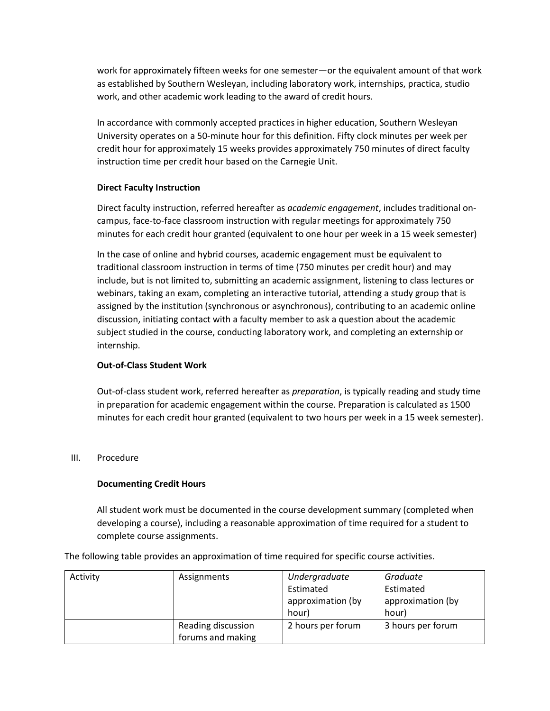work for approximately fifteen weeks for one semester—or the equivalent amount of that work as established by Southern Wesleyan, including laboratory work, internships, practica, studio work, and other academic work leading to the award of credit hours.

In accordance with commonly accepted practices in higher education, Southern Wesleyan University operates on a 50-minute hour for this definition. Fifty clock minutes per week per credit hour for approximately 15 weeks provides approximately 750 minutes of direct faculty instruction time per credit hour based on the Carnegie Unit.

### **Direct Faculty Instruction**

Direct faculty instruction, referred hereafter as *academic engagement*, includes traditional oncampus, face-to-face classroom instruction with regular meetings for approximately 750 minutes for each credit hour granted (equivalent to one hour per week in a 15 week semester)

In the case of online and hybrid courses, academic engagement must be equivalent to traditional classroom instruction in terms of time (750 minutes per credit hour) and may include, but is not limited to, submitting an academic assignment, listening to class lectures or webinars, taking an exam, completing an interactive tutorial, attending a study group that is assigned by the institution (synchronous or asynchronous), contributing to an academic online discussion, initiating contact with a faculty member to ask a question about the academic subject studied in the course, conducting laboratory work, and completing an externship or internship.

## **Out-of-Class Student Work**

Out-of-class student work, referred hereafter as *preparation*, is typically reading and study time in preparation for academic engagement within the course. Preparation is calculated as 1500 minutes for each credit hour granted (equivalent to two hours per week in a 15 week semester).

#### III. Procedure

## **Documenting Credit Hours**

All student work must be documented in the course development summary (completed when developing a course), including a reasonable approximation of time required for a student to complete course assignments.

The following table provides an approximation of time required for specific course activities.

| Activity | Assignments        | Undergraduate     | Graduate          |
|----------|--------------------|-------------------|-------------------|
|          |                    | Estimated         | Estimated         |
|          |                    | approximation (by | approximation (by |
|          |                    | hour)             | hour)             |
|          | Reading discussion | 2 hours per forum | 3 hours per forum |
|          | forums and making  |                   |                   |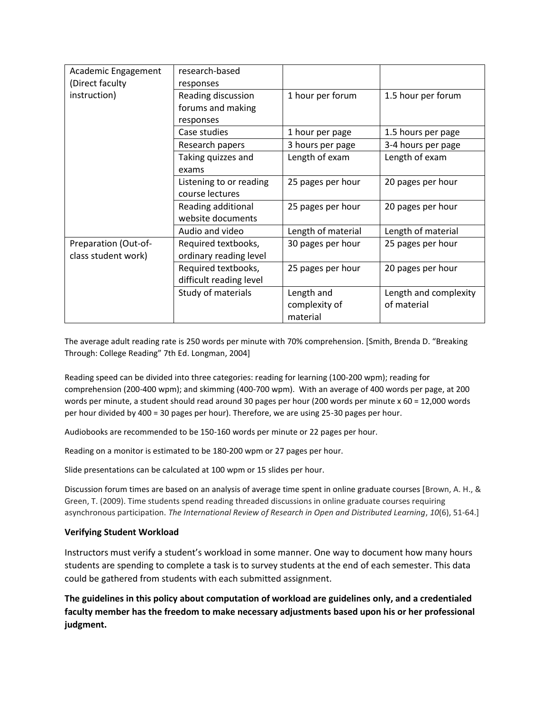| Academic Engagement  | research-based          |                    |                       |
|----------------------|-------------------------|--------------------|-----------------------|
| (Direct faculty      | responses               |                    |                       |
| instruction)         | Reading discussion      | 1 hour per forum   | 1.5 hour per forum    |
|                      | forums and making       |                    |                       |
|                      | responses               |                    |                       |
|                      | Case studies            | 1 hour per page    | 1.5 hours per page    |
|                      | Research papers         | 3 hours per page   | 3-4 hours per page    |
|                      | Taking quizzes and      | Length of exam     | Length of exam        |
|                      | exams                   |                    |                       |
|                      | Listening to or reading | 25 pages per hour  | 20 pages per hour     |
|                      | course lectures         |                    |                       |
|                      | Reading additional      | 25 pages per hour  | 20 pages per hour     |
|                      | website documents       |                    |                       |
|                      | Audio and video         | Length of material | Length of material    |
| Preparation (Out-of- | Required textbooks,     | 30 pages per hour  | 25 pages per hour     |
| class student work)  | ordinary reading level  |                    |                       |
|                      | Required textbooks,     | 25 pages per hour  | 20 pages per hour     |
|                      | difficult reading level |                    |                       |
|                      | Study of materials      | Length and         | Length and complexity |
|                      |                         | complexity of      | of material           |
|                      |                         | material           |                       |

The average adult reading rate is 250 words per minute with 70% comprehension. [Smith, Brenda D. "Breaking Through: College Reading" 7th Ed. Longman, 2004]

Reading speed can be divided into three categories: reading for learning (100-200 wpm); reading for comprehension (200-400 wpm); and skimming (400-700 wpm). With an average of 400 words per page, at 200 words per minute, a student should read around 30 pages per hour (200 words per minute x 60 = 12,000 words per hour divided by 400 = 30 pages per hour). Therefore, we are using 25-30 pages per hour.

Audiobooks are recommended to be 150-160 words per minute or 22 pages per hour.

Reading on a monitor is estimated to be 180-200 wpm or 27 pages per hour.

Slide presentations can be calculated at 100 wpm or 15 slides per hour.

Discussion forum times are based on an analysis of average time spent in online graduate courses [Brown, A. H., & Green, T. (2009). Time students spend reading threaded discussions in online graduate courses requiring asynchronous participation. *The International Review of Research in Open and Distributed Learning*, *10*(6), 51-64.]

#### **Verifying Student Workload**

Instructors must verify a student's workload in some manner. One way to document how many hours students are spending to complete a task is to survey students at the end of each semester. This data could be gathered from students with each submitted assignment.

**The guidelines in this policy about computation of workload are guidelines only, and a credentialed faculty member has the freedom to make necessary adjustments based upon his or her professional judgment.**